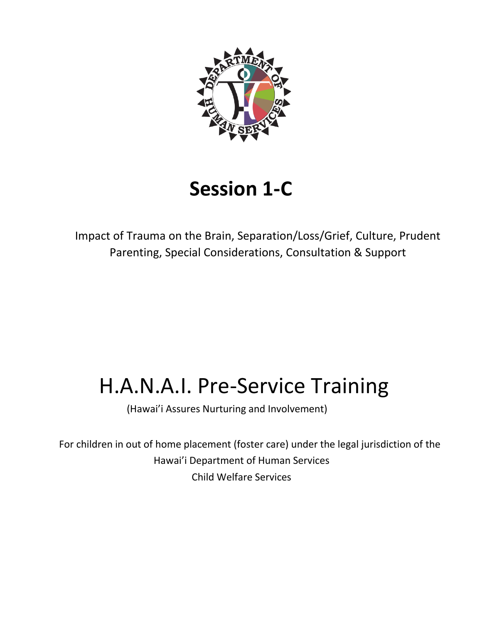

# **Session 1-C**

Impact of Trauma on the Brain, Separation/Loss/Grief, Culture, Prudent Parenting, Special Considerations, Consultation & Support

# H.A.N.A.I. Pre-Service Training

(Hawai'i Assures Nurturing and Involvement)

For children in out of home placement (foster care) under the legal jurisdiction of the Hawai'i Department of Human Services Child Welfare Services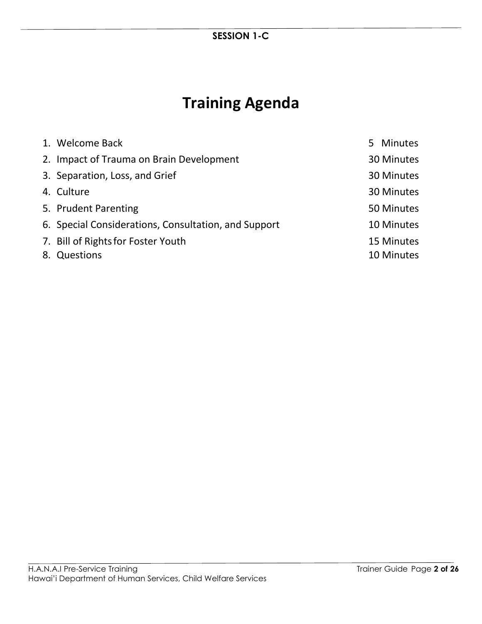## **Training Agenda**

| 1. Welcome Back                                      | 5 Minutes  |
|------------------------------------------------------|------------|
| 2. Impact of Trauma on Brain Development             | 30 Minutes |
| 3. Separation, Loss, and Grief                       | 30 Minutes |
| 4. Culture                                           | 30 Minutes |
| 5. Prudent Parenting                                 | 50 Minutes |
| 6. Special Considerations, Consultation, and Support | 10 Minutes |
| 7. Bill of Rights for Foster Youth                   | 15 Minutes |
| 8. Questions                                         | 10 Minutes |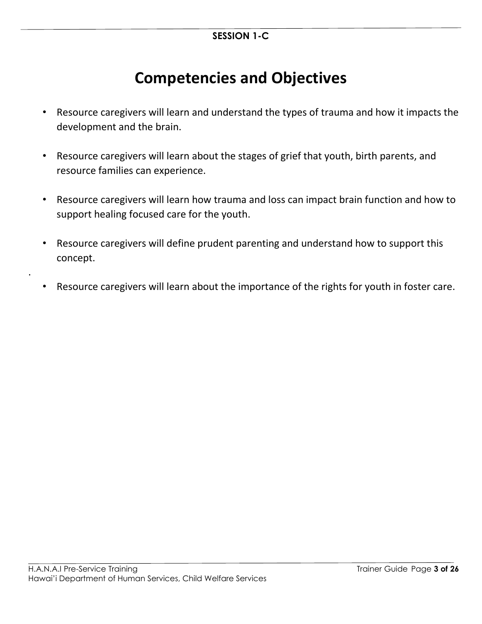## **Competencies and Objectives**

- Resource caregivers will learn and understand the types of trauma and how it impacts the development and the brain.
- Resource caregivers will learn about the stages of grief that youth, birth parents, and resource families can experience.
- Resource caregivers will learn how trauma and loss can impact brain function and how to support healing focused care for the youth.
- Resource caregivers will define prudent parenting and understand how to support this concept.
- Resource caregivers will learn about the importance of the rights for youth in foster care.

.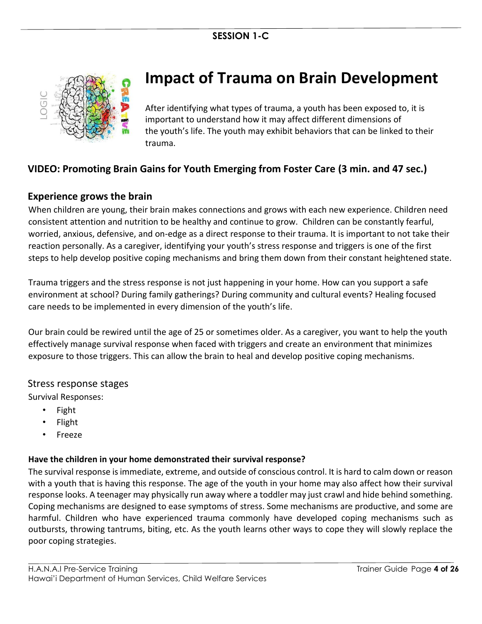

## **Impact of Trauma on Brain Development**

After identifying what types of trauma, a youth has been exposed to, it is important to understand how it may affect different dimensions of the youth's life. The youth may exhibit behaviors that can be linked to their trauma.

## **VIDEO: Promoting Brain Gains for Youth Emerging from Foster Care (3 min. and 47 sec.)**

## **Experience grows the brain**

When children are young, their brain makes connections and grows with each new experience. Children need consistent attention and nutrition to be healthy and continue to grow. Children can be constantly fearful, worried, anxious, defensive, and on-edge as a direct response to their trauma. It is important to not take their reaction personally. As a caregiver, identifying your youth's stress response and triggers is one of the first steps to help develop positive coping mechanisms and bring them down from their constant heightened state.

Trauma triggers and the stress response is not just happening in your home. How can you support a safe environment at school? During family gatherings? During community and cultural events? Healing focused care needs to be implemented in every dimension of the youth's life.

Our brain could be rewired until the age of 25 or sometimes older. As a caregiver, you want to help the youth effectively manage survival response when faced with triggers and create an environment that minimizes exposure to those triggers. This can allow the brain to heal and develop positive coping mechanisms.

#### Stress response stages

Survival Responses:

- Fight
- Flight
- Freeze

#### **Have the children in your home demonstrated their survival response?**

The survival response is immediate, extreme, and outside of conscious control. It is hard to calm down or reason with a youth that is having this response. The age of the youth in your home may also affect how their survival response looks. A teenager may physically run away where a toddler may just crawl and hide behind something. Coping mechanisms are designed to ease symptoms of stress. Some mechanisms are productive, and some are harmful. Children who have experienced trauma commonly have developed coping mechanisms such as outbursts, throwing tantrums, biting, etc. As the youth learns other ways to cope they will slowly replace the poor coping strategies.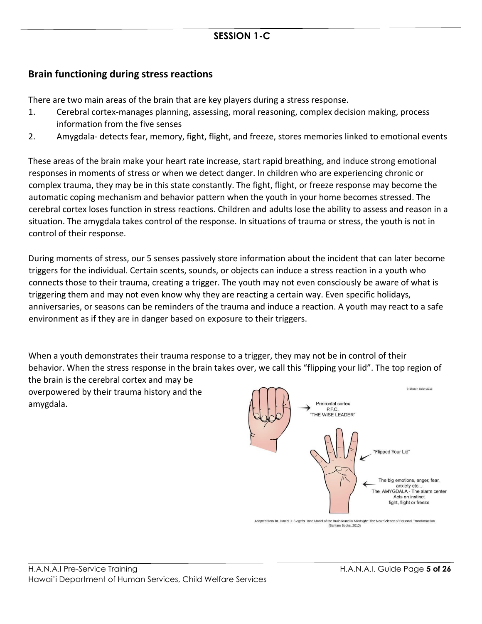## **Brain functioning during stress reactions**

There are two main areas of the brain that are key players during a stress response.

- 1. Cerebral cortex-manages planning, assessing, moral reasoning, complex decision making, process information from the five senses
- 2. Amygdala- detects fear, memory, fight, flight, and freeze, stores memories linked to emotional events

These areas of the brain make your heart rate increase, start rapid breathing, and induce strong emotional responses in moments of stress or when we detect danger. In children who are experiencing chronic or complex trauma, they may be in this state constantly. The fight, flight, or freeze response may become the automatic coping mechanism and behavior pattern when the youth in your home becomes stressed. The cerebral cortex loses function in stress reactions. Children and adults lose the ability to assess and reason in a situation. The amygdala takes control of the response. In situations of trauma or stress, the youth is not in control of their response.

During moments of stress, our 5 senses passively store information about the incident that can later become triggers for the individual. Certain scents, sounds, or objects can induce a stress reaction in a youth who connects those to their trauma, creating a trigger. The youth may not even consciously be aware of what is triggering them and may not even know why they are reacting a certain way. Even specific holidays, anniversaries, or seasons can be reminders of the trauma and induce a reaction. A youth may react to a safe environment as if they are in danger based on exposure to their triggers.

When a youth demonstrates their trauma response to a trigger, they may not be in control of their behavior. When the stress response in the brain takes over, we call this "flipping your lid". The top region of the brain is the cerebral cortex and may be C Sharon Selby 2016 overpowered by their trauma history and the amygdala. Prefrontal cortex



Adapted from Dr. Daniel J. Siegel's Hand Model of the Brain found in Mindsight: The New Science of Personal Transformation (Bantam Books, 2010)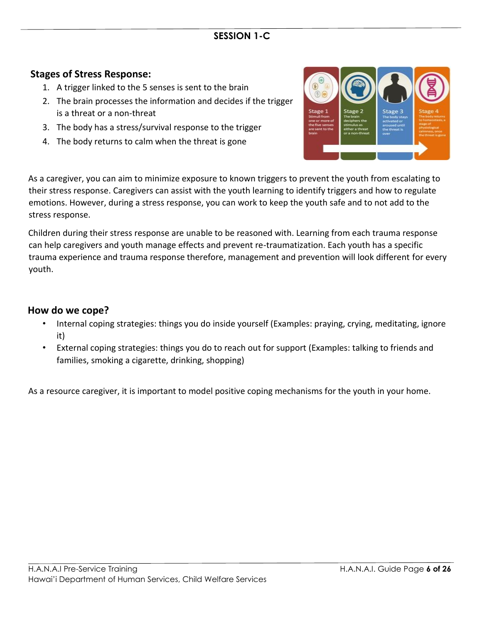## **Stages of Stress Response:**

- 1. A trigger linked to the 5 senses is sent to the brain
- 2. The brain processes the information and decides if the trigger is a threat or a non-threat
- 3. The body has a stress/survival response to the trigger
- 4. The body returns to calm when the threat is gone



As a caregiver, you can aim to minimize exposure to known triggers to prevent the youth from escalating to their stress response. Caregivers can assist with the youth learning to identify triggers and how to regulate emotions. However, during a stress response, you can work to keep the youth safe and to not add to the stress response.

Children during their stress response are unable to be reasoned with. Learning from each trauma response can help caregivers and youth manage effects and prevent re-traumatization. Each youth has a specific trauma experience and trauma response therefore, management and prevention will look different for every youth.

#### **How do we cope?**

- Internal coping strategies: things you do inside yourself (Examples: praying, crying, meditating, ignore it)
- External coping strategies: things you do to reach out for support (Examples: talking to friends and families, smoking a cigarette, drinking, shopping)

As a resource caregiver, it is important to model positive coping mechanisms for the youth in your home.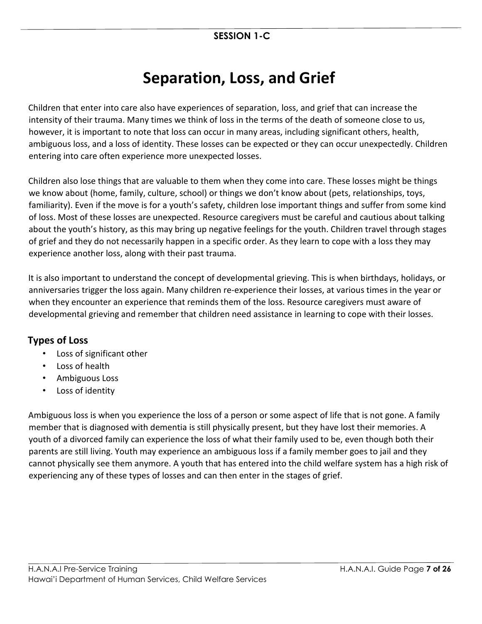## **Separation, Loss, and Grief**

Children that enter into care also have experiences of separation, loss, and grief that can increase the intensity of their trauma. Many times we think of loss in the terms of the death of someone close to us, however, it is important to note that loss can occur in many areas, including significant others, health, ambiguous loss, and a loss of identity. These losses can be expected or they can occur unexpectedly. Children entering into care often experience more unexpected losses.

Children also lose things that are valuable to them when they come into care. These losses might be things we know about (home, family, culture, school) or things we don't know about (pets, relationships, toys, familiarity). Even if the move is for a youth's safety, children lose important things and suffer from some kind of loss. Most of these losses are unexpected. Resource caregivers must be careful and cautious about talking about the youth's history, as this may bring up negative feelings for the youth. Children travel through stages of grief and they do not necessarily happen in a specific order. As they learn to cope with a loss they may experience another loss, along with their past trauma.

It is also important to understand the concept of developmental grieving. This is when birthdays, holidays, or anniversaries trigger the loss again. Many children re-experience their losses, at various times in the year or when they encounter an experience that reminds them of the loss. Resource caregivers must aware of developmental grieving and remember that children need assistance in learning to cope with their losses.

## **Types of Loss**

- Loss of significant other
- Loss of health
- Ambiguous Loss
- Loss of identity

Ambiguous loss is when you experience the loss of a person or some aspect of life that is not gone. A family member that is diagnosed with dementia is still physically present, but they have lost their memories. A youth of a divorced family can experience the loss of what their family used to be, even though both their parents are still living. Youth may experience an ambiguous loss if a family member goes to jail and they cannot physically see them anymore. A youth that has entered into the child welfare system has a high risk of experiencing any of these types of losses and can then enter in the stages of grief.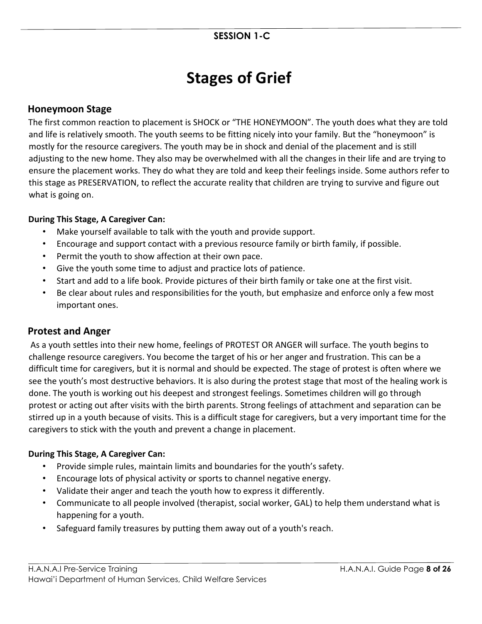## **Stages of Grief**

## **Honeymoon Stage**

The first common reaction to placement is SHOCK or "THE HONEYMOON". The youth does what they are told and life is relatively smooth. The youth seems to be fitting nicely into your family. But the "honeymoon" is mostly for the resource caregivers. The youth may be in shock and denial of the placement and is still adjusting to the new home. They also may be overwhelmed with all the changes in their life and are trying to ensure the placement works. They do what they are told and keep their feelings inside. Some authors refer to this stage as PRESERVATION, to reflect the accurate reality that children are trying to survive and figure out what is going on.

#### **During This Stage, A Caregiver Can:**

- Make yourself available to talk with the youth and provide support.
- Encourage and support contact with a previous resource family or birth family, if possible.
- Permit the youth to show affection at their own pace.
- Give the youth some time to adjust and practice lots of patience.
- Start and add to a life book. Provide pictures of their birth family or take one at the first visit.
- Be clear about rules and responsibilities for the youth, but emphasize and enforce only a few most important ones.

## **Protest and Anger**

As a youth settles into their new home, feelings of PROTEST OR ANGER will surface. The youth begins to challenge resource caregivers. You become the target of his or her anger and frustration. This can be a difficult time for caregivers, but it is normal and should be expected. The stage of protest is often where we see the youth's most destructive behaviors. It is also during the protest stage that most of the healing work is done. The youth is working out his deepest and strongest feelings. Sometimes children will go through protest or acting out after visits with the birth parents. Strong feelings of attachment and separation can be stirred up in a youth because of visits. This is a difficult stage for caregivers, but a very important time for the caregivers to stick with the youth and prevent a change in placement.

#### **During This Stage, A Caregiver Can:**

- Provide simple rules, maintain limits and boundaries for the youth's safety.
- Encourage lots of physical activity or sports to channel negative energy.
- Validate their anger and teach the youth how to express it differently.
- Communicate to all people involved (therapist, social worker, GAL) to help them understand what is happening for a youth.
- Safeguard family treasures by putting them away out of a youth's reach.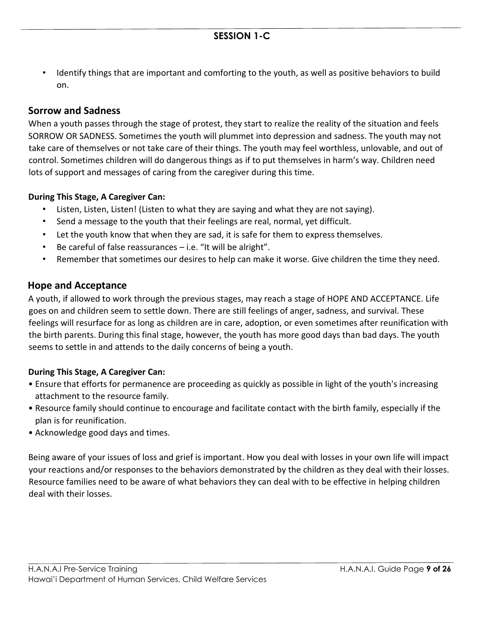• Identify things that are important and comforting to the youth, as well as positive behaviors to build on.

## **Sorrow and Sadness**

When a youth passes through the stage of protest, they start to realize the reality of the situation and feels SORROW OR SADNESS. Sometimes the youth will plummet into depression and sadness. The youth may not take care of themselves or not take care of their things. The youth may feel worthless, unlovable, and out of control. Sometimes children will do dangerous things as if to put themselves in harm's way. Children need lots of support and messages of caring from the caregiver during this time.

#### **During This Stage, A Caregiver Can:**

- Listen, Listen, Listen! (Listen to what they are saying and what they are not saying).
- Send a message to the youth that their feelings are real, normal, yet difficult.
- Let the youth know that when they are sad, it is safe for them to express themselves.
- Be careful of false reassurances  $-$  i.e. "It will be alright".
- Remember that sometimes our desires to help can make it worse. Give children the time they need.

## **Hope and Acceptance**

A youth, if allowed to work through the previous stages, may reach a stage of HOPE AND ACCEPTANCE. Life goes on and children seem to settle down. There are still feelings of anger, sadness, and survival. These feelings will resurface for as long as children are in care, adoption, or even sometimes after reunification with the birth parents. During this final stage, however, the youth has more good days than bad days. The youth seems to settle in and attends to the daily concerns of being a youth.

#### **During This Stage, A Caregiver Can:**

- Ensure that efforts for permanence are proceeding as quickly as possible in light of the youth's increasing attachment to the resource family.
- Resource family should continue to encourage and facilitate contact with the birth family, especially if the plan is for reunification.
- Acknowledge good days and times.

Being aware of your issues of loss and grief is important. How you deal with losses in your own life will impact your reactions and/or responses to the behaviors demonstrated by the children as they deal with their losses. Resource families need to be aware of what behaviors they can deal with to be effective in helping children deal with their losses.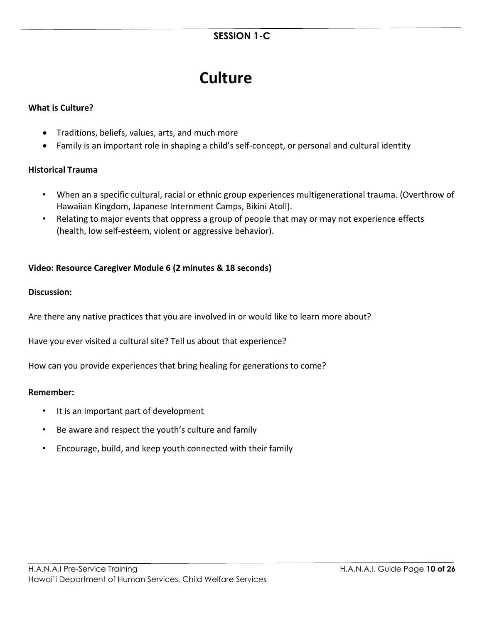## **Culture**

#### **What is Culture?**

- Traditions, beliefs, values, arts, and much more
- Family is an important role in shaping a child's self-concept, or personal and cultural identity

#### **Historical Trauma**

- When an a specific cultural, racial or ethnic group experiences multigenerational trauma. (Overthrow of Hawaiian Kingdom, Japanese Internment Camps, Bikini Atoll).
- Relating to major events that oppress a group of people that may or may not experience effects (health, low self-esteem, violent or aggressive behavior).

#### **Video: Resource Caregiver Module 6 (2 minutes & 18 seconds)**

#### **Discussion:**

Are there any native practices that you are involved in or would like to learn more about?

Have you ever visited a cultural site? Tell us about that experience?

How can you provide experiences that bring healing for generations to come?

#### **Remember:**

- It is an important part of development
- Be aware and respect the youth's culture and family
- Encourage, build, and keep youth connected with their family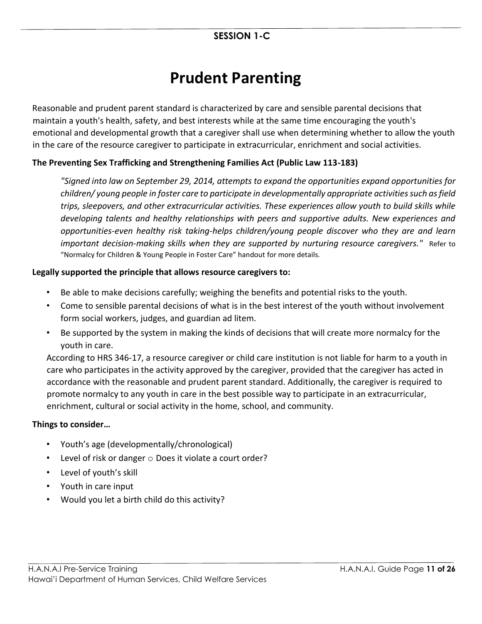## **Prudent Parenting**

Reasonable and prudent parent standard is characterized by care and sensible parental decisions that maintain a youth's health, safety, and best interests while at the same time encouraging the youth's emotional and developmental growth that a caregiver shall use when determining whether to allow the youth in the care of the resource caregiver to participate in extracurricular, enrichment and social activities.

## **The Preventing Sex Trafficking and Strengthening Families Act (Public Law 113-183)**

*"Signed into law on September 29, 2014, attempts to expand the opportunities expand opportunities for children/ young people in foster care to participate in developmentally appropriate activities such as field trips, sleepovers, and other extracurricular activities. These experiences allow youth to build skills while developing talents and healthy relationships with peers and supportive adults. New experiences and opportunities-even healthy risk taking-helps children/young people discover who they are and learn important decision-making skills when they are supported by nurturing resource caregivers."* Refer to "Normalcy for Children & Young People in Foster Care" handout for more details.

#### **Legally supported the principle that allows resource caregivers to:**

- Be able to make decisions carefully; weighing the benefits and potential risks to the youth.
- Come to sensible parental decisions of what is in the best interest of the youth without involvement form social workers, judges, and guardian ad litem.
- Be supported by the system in making the kinds of decisions that will create more normalcy for the youth in care.

According to HRS 346-17, a resource caregiver or child care institution is not liable for harm to a youth in care who participates in the activity approved by the caregiver, provided that the caregiver has acted in accordance with the reasonable and prudent parent standard. Additionally, the caregiver is required to promote normalcy to any youth in care in the best possible way to participate in an extracurricular, enrichment, cultural or social activity in the home, school, and community.

#### **Things to consider…**

- Youth's age (developmentally/chronological)
- Level of risk or danger o Does it violate a court order?
- Level of youth's skill
- Youth in care input
- Would you let a birth child do this activity?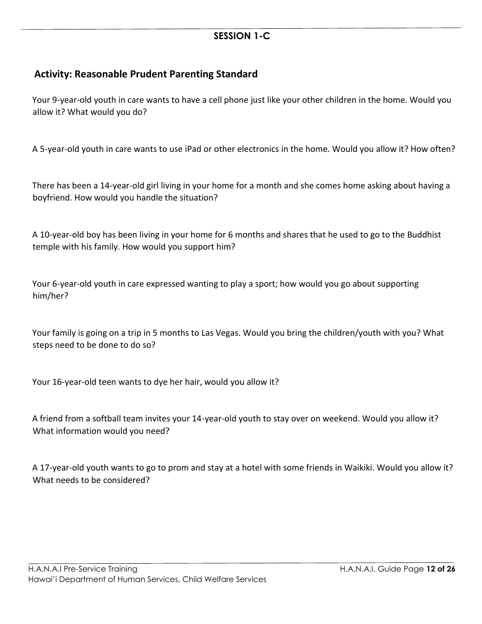## **Activity: Reasonable Prudent Parenting Standard**

Your 9-year-old youth in care wants to have a cell phone just like your other children in the home. Would you allow it? What would you do?

A 5-year-old youth in care wants to use iPad or other electronics in the home. Would you allow it? How often?

There has been a 14-year-old girl living in your home for a month and she comes home asking about having a boyfriend. How would you handle the situation?

A 10-year-old boy has been living in your home for 6 months and shares that he used to go to the Buddhist temple with his family. How would you support him?

Your 6-year-old youth in care expressed wanting to play a sport; how would you go about supporting him/her?

Your family is going on a trip in 5 months to Las Vegas. Would you bring the children/youth with you? What steps need to be done to do so?

Your 16-year-old teen wants to dye her hair, would you allow it?

A friend from a softball team invites your 14-year-old youth to stay over on weekend. Would you allow it? What information would you need?

A 17-year-old youth wants to go to prom and stay at a hotel with some friends in Waikiki. Would you allow it? What needs to be considered?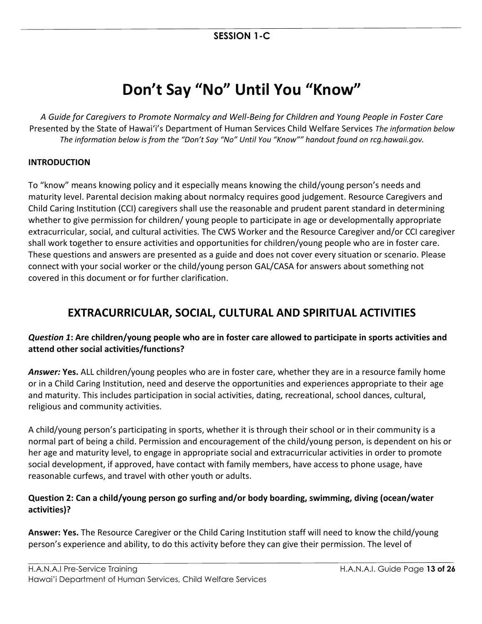## **Don't Say "No" Until You "Know"**

*A Guide for Caregivers to Promote Normalcy and Well-Being for Children and Young People in Foster Care* Presented by the State of Hawai'i's Department of Human Services Child Welfare Services *The information below The information below is from the "Don't Say "No" Until You "Know"" handout found on rcg.hawaii.gov.*

#### **INTRODUCTION**

To "know" means knowing policy and it especially means knowing the child/young person's needs and maturity level. Parental decision making about normalcy requires good judgement. Resource Caregivers and Child Caring Institution (CCI) caregivers shall use the reasonable and prudent parent standard in determining whether to give permission for children/ young people to participate in age or developmentally appropriate extracurricular, social, and cultural activities. The CWS Worker and the Resource Caregiver and/or CCI caregiver shall work together to ensure activities and opportunities for children/young people who are in foster care. These questions and answers are presented as a guide and does not cover every situation or scenario. Please connect with your social worker or the child/young person GAL/CASA for answers about something not covered in this document or for further clarification.

## **EXTRACURRICULAR, SOCIAL, CULTURAL AND SPIRITUAL ACTIVITIES**

## *Question 1***: Are children/young people who are in foster care allowed to participate in sports activities and attend other social activities/functions?**

*Answer:* **Yes.** ALL children/young peoples who are in foster care, whether they are in a resource family home or in a Child Caring Institution, need and deserve the opportunities and experiences appropriate to their age and maturity. This includes participation in social activities, dating, recreational, school dances, cultural, religious and community activities.

A child/young person's participating in sports, whether it is through their school or in their community is a normal part of being a child. Permission and encouragement of the child/young person, is dependent on his or her age and maturity level, to engage in appropriate social and extracurricular activities in order to promote social development, if approved, have contact with family members, have access to phone usage, have reasonable curfews, and travel with other youth or adults.

## **Question 2: Can a child/young person go surfing and/or body boarding, swimming, diving (ocean/water activities)?**

**Answer: Yes.** The Resource Caregiver or the Child Caring Institution staff will need to know the child/young person's experience and ability, to do this activity before they can give their permission. The level of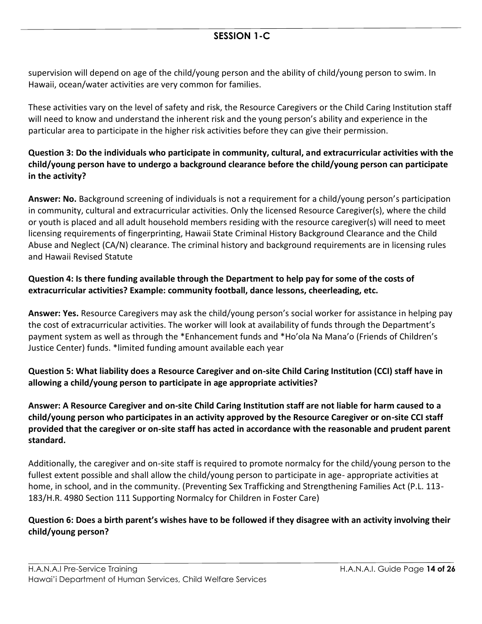supervision will depend on age of the child/young person and the ability of child/young person to swim. In Hawaii, ocean/water activities are very common for families.

These activities vary on the level of safety and risk, the Resource Caregivers or the Child Caring Institution staff will need to know and understand the inherent risk and the young person's ability and experience in the particular area to participate in the higher risk activities before they can give their permission.

### **Question 3: Do the individuals who participate in community, cultural, and extracurricular activities with the child/young person have to undergo a background clearance before the child/young person can participate in the activity?**

**Answer: No.** Background screening of individuals is not a requirement for a child/young person's participation in community, cultural and extracurricular activities. Only the licensed Resource Caregiver(s), where the child or youth is placed and all adult household members residing with the resource caregiver(s) will need to meet licensing requirements of fingerprinting, Hawaii State Criminal History Background Clearance and the Child Abuse and Neglect (CA/N) clearance. The criminal history and background requirements are in licensing rules and Hawaii Revised Statute

### **Question 4: Is there funding available through the Department to help pay for some of the costs of extracurricular activities? Example: community football, dance lessons, cheerleading, etc.**

**Answer: Yes.** Resource Caregivers may ask the child/young person's social worker for assistance in helping pay the cost of extracurricular activities. The worker will look at availability of funds through the Department's payment system as well as through the \*Enhancement funds and \*Ho'ola Na Mana'o (Friends of Children's Justice Center) funds. \*limited funding amount available each year

## **Question 5: What liability does a Resource Caregiver and on-site Child Caring Institution (CCI) staff have in allowing a child/young person to participate in age appropriate activities?**

**Answer: A Resource Caregiver and on-site Child Caring Institution staff are not liable for harm caused to a child/young person who participates in an activity approved by the Resource Caregiver or on-site CCI staff provided that the caregiver or on-site staff has acted in accordance with the reasonable and prudent parent standard.** 

Additionally, the caregiver and on-site staff is required to promote normalcy for the child/young person to the fullest extent possible and shall allow the child/young person to participate in age- appropriate activities at home, in school, and in the community. (Preventing Sex Trafficking and Strengthening Families Act (P.L. 113- 183/H.R. 4980 Section 111 Supporting Normalcy for Children in Foster Care)

### **Question 6: Does a birth parent's wishes have to be followed if they disagree with an activity involving their child/young person?**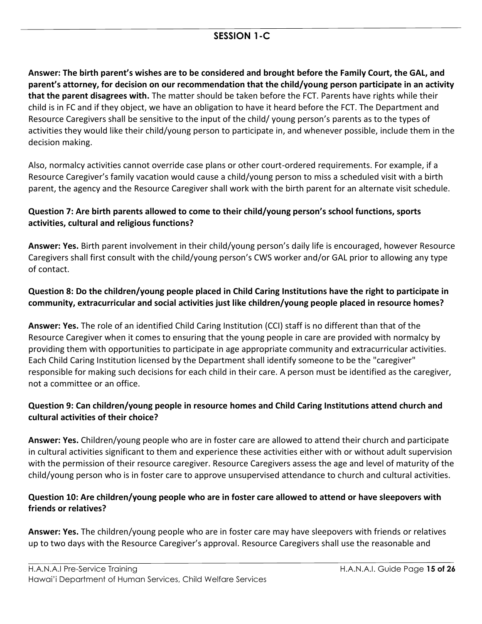**Answer: The birth parent's wishes are to be considered and brought before the Family Court, the GAL, and parent's attorney, for decision on our recommendation that the child/young person participate in an activity that the parent disagrees with.** The matter should be taken before the FCT. Parents have rights while their child is in FC and if they object, we have an obligation to have it heard before the FCT. The Department and Resource Caregivers shall be sensitive to the input of the child/ young person's parents as to the types of activities they would like their child/young person to participate in, and whenever possible, include them in the decision making.

Also, normalcy activities cannot override case plans or other court-ordered requirements. For example, if a Resource Caregiver's family vacation would cause a child/young person to miss a scheduled visit with a birth parent, the agency and the Resource Caregiver shall work with the birth parent for an alternate visit schedule.

### **Question 7: Are birth parents allowed to come to their child/young person's school functions, sports activities, cultural and religious functions?**

**Answer: Yes.** Birth parent involvement in their child/young person's daily life is encouraged, however Resource Caregivers shall first consult with the child/young person's CWS worker and/or GAL prior to allowing any type of contact.

### **Question 8: Do the children/young people placed in Child Caring Institutions have the right to participate in community, extracurricular and social activities just like children/young people placed in resource homes?**

**Answer: Yes.** The role of an identified Child Caring Institution (CCI) staff is no different than that of the Resource Caregiver when it comes to ensuring that the young people in care are provided with normalcy by providing them with opportunities to participate in age appropriate community and extracurricular activities. Each Child Caring Institution licensed by the Department shall identify someone to be the "caregiver" responsible for making such decisions for each child in their care. A person must be identified as the caregiver, not a committee or an office.

### **Question 9: Can children/young people in resource homes and Child Caring Institutions attend church and cultural activities of their choice?**

**Answer: Yes.** Children/young people who are in foster care are allowed to attend their church and participate in cultural activities significant to them and experience these activities either with or without adult supervision with the permission of their resource caregiver. Resource Caregivers assess the age and level of maturity of the child/young person who is in foster care to approve unsupervised attendance to church and cultural activities.

## **Question 10: Are children/young people who are in foster care allowed to attend or have sleepovers with friends or relatives?**

**Answer: Yes.** The children/young people who are in foster care may have sleepovers with friends or relatives up to two days with the Resource Caregiver's approval. Resource Caregivers shall use the reasonable and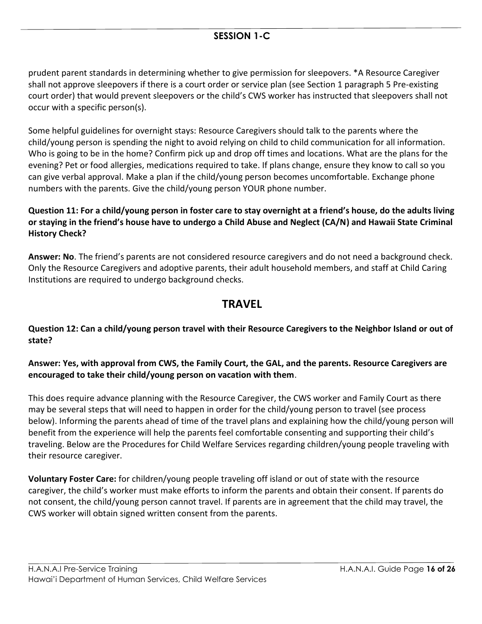prudent parent standards in determining whether to give permission for sleepovers. \*A Resource Caregiver shall not approve sleepovers if there is a court order or service plan (see Section 1 paragraph 5 Pre-existing court order) that would prevent sleepovers or the child's CWS worker has instructed that sleepovers shall not occur with a specific person(s).

Some helpful guidelines for overnight stays: Resource Caregivers should talk to the parents where the child/young person is spending the night to avoid relying on child to child communication for all information. Who is going to be in the home? Confirm pick up and drop off times and locations. What are the plans for the evening? Pet or food allergies, medications required to take. If plans change, ensure they know to call so you can give verbal approval. Make a plan if the child/young person becomes uncomfortable. Exchange phone numbers with the parents. Give the child/young person YOUR phone number.

### **Question 11: For a child/young person in foster care to stay overnight at a friend's house, do the adults living or staying in the friend's house have to undergo a Child Abuse and Neglect (CA/N) and Hawaii State Criminal History Check?**

**Answer: No**. The friend's parents are not considered resource caregivers and do not need a background check. Only the Resource Caregivers and adoptive parents, their adult household members, and staff at Child Caring Institutions are required to undergo background checks.

## **TRAVEL**

### **Question 12: Can a child/young person travel with their Resource Caregivers to the Neighbor Island or out of state?**

### **Answer: Yes, with approval from CWS, the Family Court, the GAL, and the parents. Resource Caregivers are encouraged to take their child/young person on vacation with them**.

This does require advance planning with the Resource Caregiver, the CWS worker and Family Court as there may be several steps that will need to happen in order for the child/young person to travel (see process below). Informing the parents ahead of time of the travel plans and explaining how the child/young person will benefit from the experience will help the parents feel comfortable consenting and supporting their child's traveling. Below are the Procedures for Child Welfare Services regarding children/young people traveling with their resource caregiver.

**Voluntary Foster Care:** for children/young people traveling off island or out of state with the resource caregiver, the child's worker must make efforts to inform the parents and obtain their consent. If parents do not consent, the child/young person cannot travel. If parents are in agreement that the child may travel, the CWS worker will obtain signed written consent from the parents.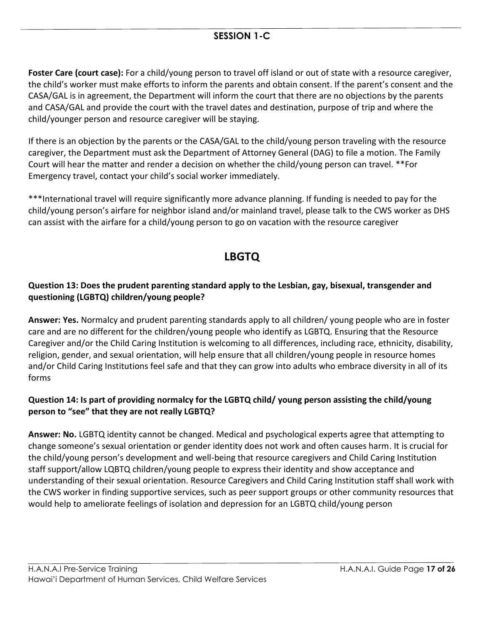**Foster Care (court case):** For a child/young person to travel off island or out of state with a resource caregiver, the child's worker must make efforts to inform the parents and obtain consent. If the parent's consent and the CASA/GAL is in agreement, the Department will inform the court that there are no objections by the parents and CASA/GAL and provide the court with the travel dates and destination, purpose of trip and where the child/younger person and resource caregiver will be staying.

If there is an objection by the parents or the CASA/GAL to the child/young person traveling with the resource caregiver, the Department must ask the Department of Attorney General (DAG) to file a motion. The Family Court will hear the matter and render a decision on whether the child/young person can travel. \*\*For Emergency travel, contact your child's social worker immediately.

\*\*\*International travel will require significantly more advance planning. If funding is needed to pay for the child/young person's airfare for neighbor island and/or mainland travel, please talk to the CWS worker as DHS can assist with the airfare for a child/young person to go on vacation with the resource caregiver

## **LBGTQ**

## **Question 13: Does the prudent parenting standard apply to the Lesbian, gay, bisexual, transgender and questioning (LGBTQ) children/young people?**

**Answer: Yes.** Normalcy and prudent parenting standards apply to all children/ young people who are in foster care and are no different for the children/young people who identify as LGBTQ. Ensuring that the Resource Caregiver and/or the Child Caring Institution is welcoming to all differences, including race, ethnicity, disability, religion, gender, and sexual orientation, will help ensure that all children/young people in resource homes and/or Child Caring Institutions feel safe and that they can grow into adults who embrace diversity in all of its forms

## **Question 14: Is part of providing normalcy for the LGBTQ child/ young person assisting the child/young person to "see" that they are not really LGBTQ?**

**Answer: No.** LGBTQ identity cannot be changed. Medical and psychological experts agree that attempting to change someone's sexual orientation or gender identity does not work and often causes harm. It is crucial for the child/young person's development and well-being that resource caregivers and Child Caring Institution staff support/allow LQBTQ children/young people to express their identity and show acceptance and understanding of their sexual orientation. Resource Caregivers and Child Caring Institution staff shall work with the CWS worker in finding supportive services, such as peer support groups or other community resources that would help to ameliorate feelings of isolation and depression for an LGBTQ child/young person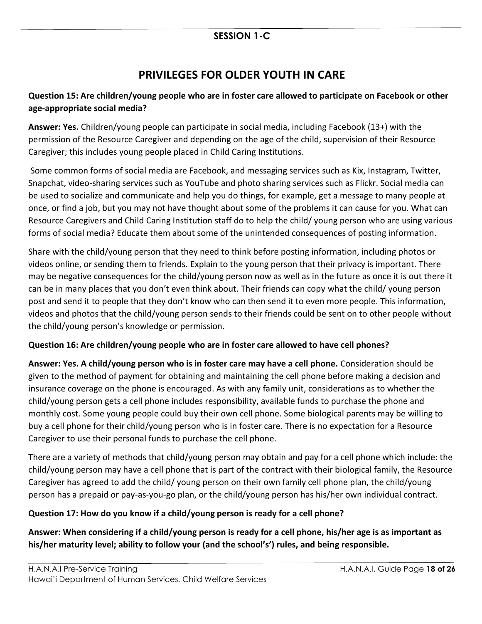## **PRIVILEGES FOR OLDER YOUTH IN CARE**

## **Question 15: Are children/young people who are in foster care allowed to participate on Facebook or other age-appropriate social media?**

**Answer: Yes.** Children/young people can participate in social media, including Facebook (13+) with the permission of the Resource Caregiver and depending on the age of the child, supervision of their Resource Caregiver; this includes young people placed in Child Caring Institutions.

Some common forms of social media are Facebook, and messaging services such as Kix, Instagram, Twitter, Snapchat, video-sharing services such as YouTube and photo sharing services such as Flickr. Social media can be used to socialize and communicate and help you do things, for example, get a message to many people at once, or find a job, but you may not have thought about some of the problems it can cause for you. What can Resource Caregivers and Child Caring Institution staff do to help the child/ young person who are using various forms of social media? Educate them about some of the unintended consequences of posting information.

Share with the child/young person that they need to think before posting information, including photos or videos online, or sending them to friends. Explain to the young person that their privacy is important. There may be negative consequences for the child/young person now as well as in the future as once it is out there it can be in many places that you don't even think about. Their friends can copy what the child/ young person post and send it to people that they don't know who can then send it to even more people. This information, videos and photos that the child/young person sends to their friends could be sent on to other people without the child/young person's knowledge or permission.

## **Question 16: Are children/young people who are in foster care allowed to have cell phones?**

**Answer: Yes. A child/young person who is in foster care may have a cell phone.** Consideration should be given to the method of payment for obtaining and maintaining the cell phone before making a decision and insurance coverage on the phone is encouraged. As with any family unit, considerations as to whether the child/young person gets a cell phone includes responsibility, available funds to purchase the phone and monthly cost. Some young people could buy their own cell phone. Some biological parents may be willing to buy a cell phone for their child/young person who is in foster care. There is no expectation for a Resource Caregiver to use their personal funds to purchase the cell phone.

There are a variety of methods that child/young person may obtain and pay for a cell phone which include: the child/young person may have a cell phone that is part of the contract with their biological family, the Resource Caregiver has agreed to add the child/ young person on their own family cell phone plan, the child/young person has a prepaid or pay-as-you-go plan, or the child/young person has his/her own individual contract.

#### **Question 17: How do you know if a child/young person is ready for a cell phone?**

**Answer: When considering if a child/young person is ready for a cell phone, his/her age is as important as his/her maturity level; ability to follow your (and the school's') rules, and being responsible.**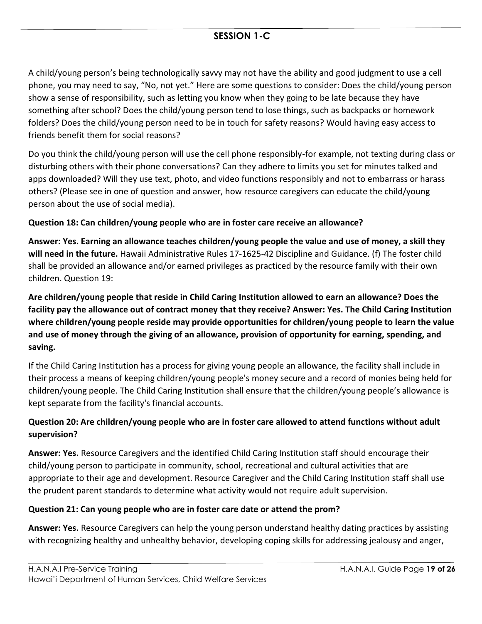A child/young person's being technologically savvy may not have the ability and good judgment to use a cell phone, you may need to say, "No, not yet." Here are some questions to consider: Does the child/young person show a sense of responsibility, such as letting you know when they going to be late because they have something after school? Does the child/young person tend to lose things, such as backpacks or homework folders? Does the child/young person need to be in touch for safety reasons? Would having easy access to friends benefit them for social reasons?

Do you think the child/young person will use the cell phone responsibly-for example, not texting during class or disturbing others with their phone conversations? Can they adhere to limits you set for minutes talked and apps downloaded? Will they use text, photo, and video functions responsibly and not to embarrass or harass others? (Please see in one of question and answer, how resource caregivers can educate the child/young person about the use of social media).

### **Question 18: Can children/young people who are in foster care receive an allowance?**

**Answer: Yes. Earning an allowance teaches children/young people the value and use of money, a skill they will need in the future.** Hawaii Administrative Rules 17-1625-42 Discipline and Guidance. (f) The foster child shall be provided an allowance and/or earned privileges as practiced by the resource family with their own children. Question 19:

**Are children/young people that reside in Child Caring Institution allowed to earn an allowance? Does the facility pay the allowance out of contract money that they receive? Answer: Yes. The Child Caring Institution where children/young people reside may provide opportunities for children/young people to learn the value and use of money through the giving of an allowance, provision of opportunity for earning, spending, and saving.**

If the Child Caring Institution has a process for giving young people an allowance, the facility shall include in their process a means of keeping children/young people's money secure and a record of monies being held for children/young people. The Child Caring Institution shall ensure that the children/young people's allowance is kept separate from the facility's financial accounts.

## **Question 20: Are children/young people who are in foster care allowed to attend functions without adult supervision?**

**Answer: Yes.** Resource Caregivers and the identified Child Caring Institution staff should encourage their child/young person to participate in community, school, recreational and cultural activities that are appropriate to their age and development. Resource Caregiver and the Child Caring Institution staff shall use the prudent parent standards to determine what activity would not require adult supervision.

## **Question 21: Can young people who are in foster care date or attend the prom?**

**Answer: Yes.** Resource Caregivers can help the young person understand healthy dating practices by assisting with recognizing healthy and unhealthy behavior, developing coping skills for addressing jealousy and anger,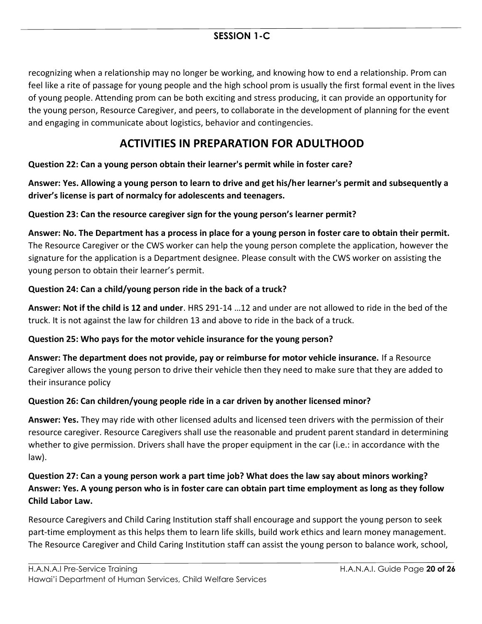recognizing when a relationship may no longer be working, and knowing how to end a relationship. Prom can feel like a rite of passage for young people and the high school prom is usually the first formal event in the lives of young people. Attending prom can be both exciting and stress producing, it can provide an opportunity for the young person, Resource Caregiver, and peers, to collaborate in the development of planning for the event and engaging in communicate about logistics, behavior and contingencies.

## **ACTIVITIES IN PREPARATION FOR ADULTHOOD**

### **Question 22: Can a young person obtain their learner's permit while in foster care?**

**Answer: Yes. Allowing a young person to learn to drive and get his/her learner's permit and subsequently a driver's license is part of normalcy for adolescents and teenagers.**

### **Question 23: Can the resource caregiver sign for the young person's learner permit?**

**Answer: No. The Department has a process in place for a young person in foster care to obtain their permit.**  The Resource Caregiver or the CWS worker can help the young person complete the application, however the signature for the application is a Department designee. Please consult with the CWS worker on assisting the young person to obtain their learner's permit.

### **Question 24: Can a child/young person ride in the back of a truck?**

**Answer: Not if the child is 12 and under**. HRS 291-14 …12 and under are not allowed to ride in the bed of the truck. It is not against the law for children 13 and above to ride in the back of a truck.

#### **Question 25: Who pays for the motor vehicle insurance for the young person?**

**Answer: The department does not provide, pay or reimburse for motor vehicle insurance.** If a Resource Caregiver allows the young person to drive their vehicle then they need to make sure that they are added to their insurance policy

## **Question 26: Can children/young people ride in a car driven by another licensed minor?**

**Answer: Yes.** They may ride with other licensed adults and licensed teen drivers with the permission of their resource caregiver. Resource Caregivers shall use the reasonable and prudent parent standard in determining whether to give permission. Drivers shall have the proper equipment in the car (i.e.: in accordance with the law).

## **Question 27: Can a young person work a part time job? What does the law say about minors working? Answer: Yes. A young person who is in foster care can obtain part time employment as long as they follow Child Labor Law.**

Resource Caregivers and Child Caring Institution staff shall encourage and support the young person to seek part-time employment as this helps them to learn life skills, build work ethics and learn money management. The Resource Caregiver and Child Caring Institution staff can assist the young person to balance work, school,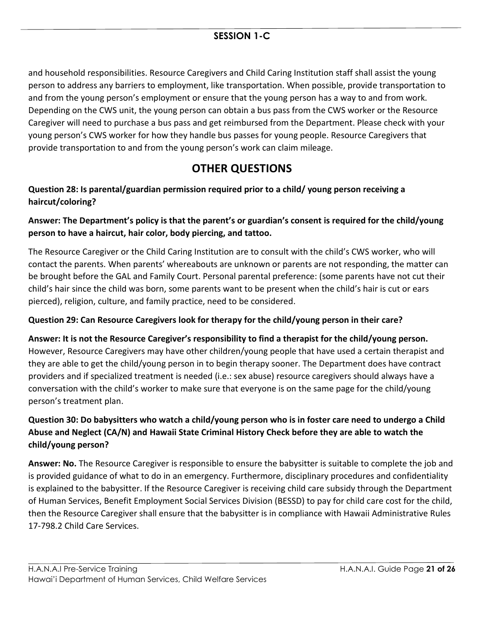and household responsibilities. Resource Caregivers and Child Caring Institution staff shall assist the young person to address any barriers to employment, like transportation. When possible, provide transportation to and from the young person's employment or ensure that the young person has a way to and from work. Depending on the CWS unit, the young person can obtain a bus pass from the CWS worker or the Resource Caregiver will need to purchase a bus pass and get reimbursed from the Department. Please check with your young person's CWS worker for how they handle bus passes for young people. Resource Caregivers that provide transportation to and from the young person's work can claim mileage.

## **OTHER QUESTIONS**

## **Question 28: Is parental/guardian permission required prior to a child/ young person receiving a haircut/coloring?**

## **Answer: The Department's policy is that the parent's or guardian's consent is required for the child/young person to have a haircut, hair color, body piercing, and tattoo.**

The Resource Caregiver or the Child Caring Institution are to consult with the child's CWS worker, who will contact the parents. When parents' whereabouts are unknown or parents are not responding, the matter can be brought before the GAL and Family Court. Personal parental preference: (some parents have not cut their child's hair since the child was born, some parents want to be present when the child's hair is cut or ears pierced), religion, culture, and family practice, need to be considered.

## **Question 29: Can Resource Caregivers look for therapy for the child/young person in their care?**

## **Answer: It is not the Resource Caregiver's responsibility to find a therapist for the child/young person.** However, Resource Caregivers may have other children/young people that have used a certain therapist and they are able to get the child/young person in to begin therapy sooner. The Department does have contract providers and if specialized treatment is needed (i.e.: sex abuse) resource caregivers should always have a conversation with the child's worker to make sure that everyone is on the same page for the child/young person's treatment plan.

## **Question 30: Do babysitters who watch a child/young person who is in foster care need to undergo a Child Abuse and Neglect (CA/N) and Hawaii State Criminal History Check before they are able to watch the child/young person?**

**Answer: No.** The Resource Caregiver is responsible to ensure the babysitter is suitable to complete the job and is provided guidance of what to do in an emergency. Furthermore, disciplinary procedures and confidentiality is explained to the babysitter. If the Resource Caregiver is receiving child care subsidy through the Department of Human Services, Benefit Employment Social Services Division (BESSD) to pay for child care cost for the child, then the Resource Caregiver shall ensure that the babysitter is in compliance with Hawaii Administrative Rules 17-798.2 Child Care Services.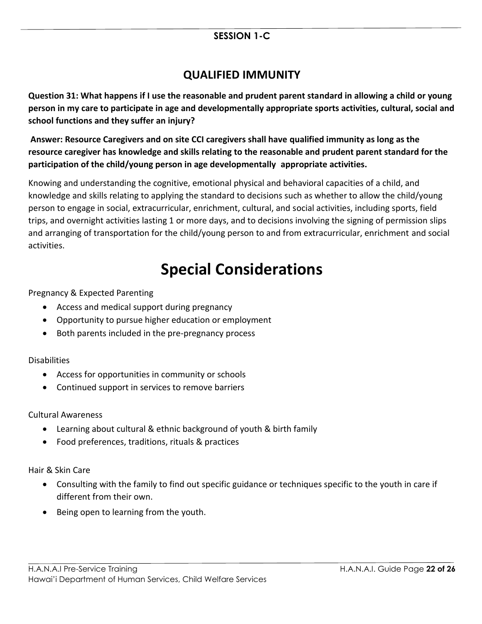## **QUALIFIED IMMUNITY**

**Question 31: What happens if I use the reasonable and prudent parent standard in allowing a child or young person in my care to participate in age and developmentally appropriate sports activities, cultural, social and school functions and they suffer an injury?**

**Answer: Resource Caregivers and on site CCI caregivers shall have qualified immunity as long as the resource caregiver has knowledge and skills relating to the reasonable and prudent parent standard for the participation of the child/young person in age developmentally appropriate activities.**

Knowing and understanding the cognitive, emotional physical and behavioral capacities of a child, and knowledge and skills relating to applying the standard to decisions such as whether to allow the child/young person to engage in social, extracurricular, enrichment, cultural, and social activities, including sports, field trips, and overnight activities lasting 1 or more days, and to decisions involving the signing of permission slips and arranging of transportation for the child/young person to and from extracurricular, enrichment and social activities.

## **Special Considerations**

Pregnancy & Expected Parenting

- Access and medical support during pregnancy
- Opportunity to pursue higher education or employment
- Both parents included in the pre-pregnancy process

#### Disabilities

- Access for opportunities in community or schools
- Continued support in services to remove barriers

#### Cultural Awareness

- Learning about cultural & ethnic background of youth & birth family
- Food preferences, traditions, rituals & practices

Hair & Skin Care

- Consulting with the family to find out specific guidance or techniques specific to the youth in care if different from their own.
- Being open to learning from the youth.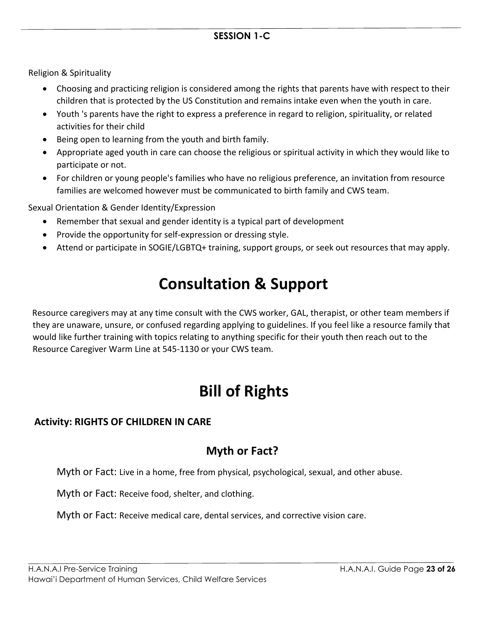Religion & Spirituality

- Choosing and practicing religion is considered among the rights that parents have with respect to their children that is protected by the US Constitution and remains intake even when the youth in care.
- Youth 's parents have the right to express a preference in regard to religion, spirituality, or related activities for their child
- Being open to learning from the youth and birth family.
- Appropriate aged youth in care can choose the religious or spiritual activity in which they would like to participate or not.
- For children or young people's families who have no religious preference, an invitation from resource families are welcomed however must be communicated to birth family and CWS team.

Sexual Orientation & Gender Identity/Expression

- Remember that sexual and gender identity is a typical part of development
- Provide the opportunity for self-expression or dressing style.
- Attend or participate in SOGIE/LGBTQ+ training, support groups, or seek out resources that may apply.

## **Consultation & Support**

Resource caregivers may at any time consult with the CWS worker, GAL, therapist, or other team members if they are unaware, unsure, or confused regarding applying to guidelines. If you feel like a resource family that would like further training with topics relating to anything specific for their youth then reach out to the Resource Caregiver Warm Line at 545-1130 or your CWS team.

## **Bill of Rights**

## **Activity: RIGHTS OF CHILDREN IN CARE**

## **Myth or Fact?**

Myth or Fact: Live in a home, free from physical, psychological, sexual, and other abuse.

Myth or Fact: Receive food, shelter, and clothing.

Myth or Fact: Receive medical care, dental services, and corrective vision care.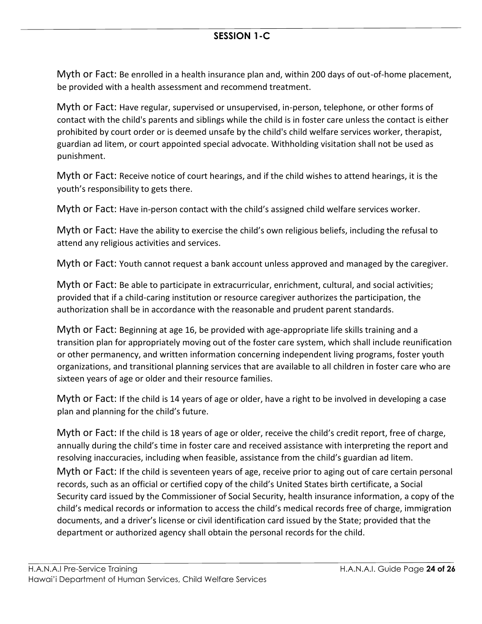Myth or Fact: Be enrolled in a health insurance plan and, within 200 days of out-of-home placement, be provided with a health assessment and recommend treatment.

Myth or Fact: Have regular, supervised or unsupervised, in-person, telephone, or other forms of contact with the child's parents and siblings while the child is in foster care unless the contact is either prohibited by court order or is deemed unsafe by the child's child welfare services worker, therapist, guardian ad litem, or court appointed special advocate. Withholding visitation shall not be used as punishment.

Myth or Fact: Receive notice of court hearings, and if the child wishes to attend hearings, it is the youth's responsibility to gets there.

Myth or Fact: Have in-person contact with the child's assigned child welfare services worker.

Myth or Fact: Have the ability to exercise the child's own religious beliefs, including the refusal to attend any religious activities and services.

Myth or Fact: Youth cannot request a bank account unless approved and managed by the caregiver.

Myth or Fact: Be able to participate in extracurricular, enrichment, cultural, and social activities; provided that if a child-caring institution or resource caregiver authorizes the participation, the authorization shall be in accordance with the reasonable and prudent parent standards.

Myth or Fact: Beginning at age 16, be provided with age-appropriate life skills training and a transition plan for appropriately moving out of the foster care system, which shall include reunification or other permanency, and written information concerning independent living programs, foster youth organizations, and transitional planning services that are available to all children in foster care who are sixteen years of age or older and their resource families.

Myth or Fact: If the child is 14 years of age or older, have a right to be involved in developing a case plan and planning for the child's future.

Myth or Fact: If the child is 18 years of age or older, receive the child's credit report, free of charge, annually during the child's time in foster care and received assistance with interpreting the report and resolving inaccuracies, including when feasible, assistance from the child's guardian ad litem. Myth or Fact: If the child is seventeen years of age, receive prior to aging out of care certain personal records, such as an official or certified copy of the child's United States birth certificate, a Social Security card issued by the Commissioner of Social Security, health insurance information, a copy of the child's medical records or information to access the child's medical records free of charge, immigration documents, and a driver's license or civil identification card issued by the State; provided that the department or authorized agency shall obtain the personal records for the child.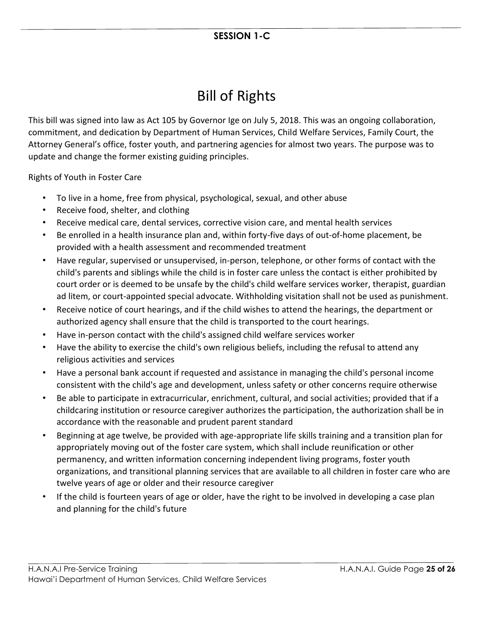## Bill of Rights

This bill was signed into law as Act 105 by Governor Ige on July 5, 2018. This was an ongoing collaboration, commitment, and dedication by Department of Human Services, Child Welfare Services, Family Court, the Attorney General's office, foster youth, and partnering agencies for almost two years. The purpose was to update and change the former existing guiding principles.

Rights of Youth in Foster Care

- To live in a home, free from physical, psychological, sexual, and other abuse
- Receive food, shelter, and clothing
- Receive medical care, dental services, corrective vision care, and mental health services
- Be enrolled in a health insurance plan and, within forty-five days of out-of-home placement, be provided with a health assessment and recommended treatment
- Have regular, supervised or unsupervised, in-person, telephone, or other forms of contact with the child's parents and siblings while the child is in foster care unless the contact is either prohibited by court order or is deemed to be unsafe by the child's child welfare services worker, therapist, guardian ad litem, or court-appointed special advocate. Withholding visitation shall not be used as punishment.
- Receive notice of court hearings, and if the child wishes to attend the hearings, the department or authorized agency shall ensure that the child is transported to the court hearings.
- Have in-person contact with the child's assigned child welfare services worker
- Have the ability to exercise the child's own religious beliefs, including the refusal to attend any religious activities and services
- Have a personal bank account if requested and assistance in managing the child's personal income consistent with the child's age and development, unless safety or other concerns require otherwise
- Be able to participate in extracurricular, enrichment, cultural, and social activities; provided that if a childcaring institution or resource caregiver authorizes the participation, the authorization shall be in accordance with the reasonable and prudent parent standard
- Beginning at age twelve, be provided with age-appropriate life skills training and a transition plan for appropriately moving out of the foster care system, which shall include reunification or other permanency, and written information concerning independent living programs, foster youth organizations, and transitional planning services that are available to all children in foster care who are twelve years of age or older and their resource caregiver
- If the child is fourteen years of age or older, have the right to be involved in developing a case plan and planning for the child's future